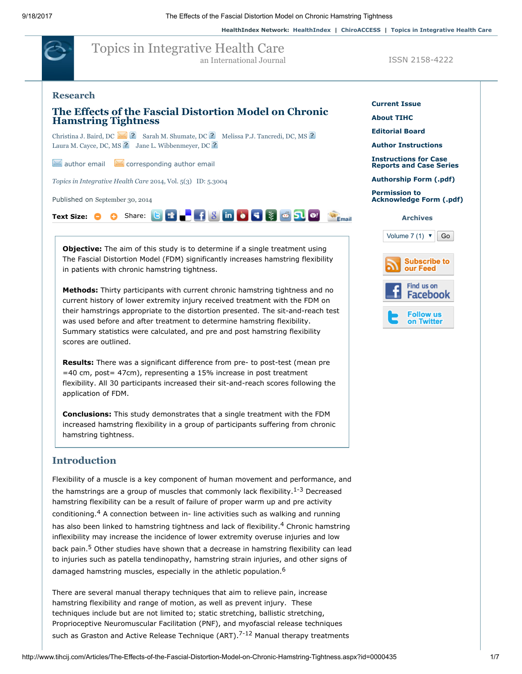9/18/2017 The Effects of the Fascial Distortion Model on Chronic Hamstring Tightness

HealthIndex Network: [HealthIndex](http://www.healthindex.com/) | [ChiroACCESS](http://www.chiroaccess.com/) | Topics in [Integrative](http://www.tihcij.com/) Health Care



Topics in [Integrative](http://www.tihcij.com/Start.aspx) Health Care

an International Journal **ISSN 2158-4222** 

### Research

## The Effects of the Fascial Distortion Model on Chronic Hamstring Tightness

Christina J. Baird, DC 3 Sarah M. Shumate, DC Melissa P.J. Tancredi, DC, MS 2 Laura M. Cayce, DC, MS  $\boxed{?}$  Jane L. Wibbenmeyer, DC  $\boxed{?}$ 

author email corresponding author email

*Topics in Integrative Health Care* 2014, Vol. 5(3) ID: 5.3004

Published on September 30, 2014



Objective: The aim of this study is to determine if a single treatment using The Fascial Distortion Model (FDM) significantly increases hamstring flexibility in patients with chronic hamstring tightness.

Methods: Thirty participants with current chronic hamstring tightness and no current history of lower extremity injury received treatment with the FDM on their hamstrings appropriate to the distortion presented. The sit-and-reach test was used before and after treatment to determine hamstring flexibility. Summary statistics were calculated, and pre and post hamstring flexibility scores are outlined.

Results: There was a significant difference from pre- to post-test (mean pre =40 cm, post= 47cm), representing a 15% increase in post treatment flexibility. All 30 participants increased their sit-and-reach scores following the application of FDM.

Conclusions: This study demonstrates that a single treatment with the FDM increased hamstring flexibility in a group of participants suffering from chronic hamstring tightness.

## **Introduction**

Flexibility of a muscle is a key component of human movement and performance, and the hamstrings are a group of muscles that commonly lack flexibility.<sup>1-3</sup> Decreased hamstring flexibility can be a result of failure of proper warm up and pre activity conditioning.<sup>4</sup> A connection between in- line activities such as walking and running has also been linked to hamstring tightness and lack of flexibility.<sup>4</sup> Chronic hamstring inflexibility may increase the incidence of lower extremity overuse injuries and low back pain.<sup>5</sup> Other studies have shown that a decrease in hamstring flexibility can lead to injuries such as patella tendinopathy, hamstring strain injuries, and other signs of damaged hamstring muscles, especially in the athletic population.<sup>6</sup>

There are several manual therapy techniques that aim to relieve pain, increase hamstring flexibility and range of motion, as well as prevent injury. These techniques include but are not limited to; static stretching, ballistic stretching, Proprioceptive Neuromuscular Facilitation (PNF), and myofascial release techniques such as Graston and Active Release Technique (ART).<sup>7-12</sup> Manual therapy treatments

## [Current](http://www.tihcij.com/Start.aspx) Issue

[About](http://www.tihcij.com/About.aspx) TIHC

[Editorial](http://www.tihcij.com/EditorialBoard.aspx) Board

Author [Instructions](http://www.tihcij.com/AuthorInstructions.aspx)

[Instructions](http://www.tihcij.com/CaseReportSeries.aspx) for Case Reports and Case Series

[Authorship](http://www.tihcij.com/TIHCAuthorship.pdf) Form (.pdf)

Permission to<br>[Acknowledge](http://www.tihcij.com/TIHCPermission.pdf) Form (.pdf)

#### Archives

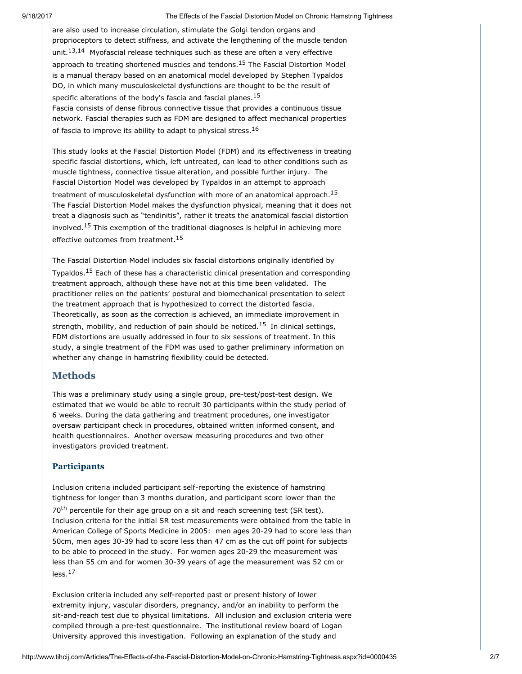9/18/2017 The Effects of the Fascial Distortion Model on Chronic Hamstring Tightness

are also used to increase circulation, stimulate the Golgi tendon organs and proprioceptors to detect stiffness, and activate the lengthening of the muscle tendon unit.<sup>13,14</sup> Myofascial release techniques such as these are often a very effective

approach to treating shortened muscles and tendons.<sup>15</sup> The Fascial Distortion Model is a manual therapy based on an anatomical model developed by Stephen Typaldos DO, in which many musculoskeletal dysfunctions are thought to be the result of specific alterations of the body's fascia and fascial planes. $15$ 

Fascia consists of dense fibrous connective tissue that provides a continuous tissue network. Fascial therapies such as FDM are designed to affect mechanical properties of fascia to improve its ability to adapt to physical stress.<sup>16</sup>

This study looks at the Fascial Distortion Model (FDM) and its effectiveness in treating specific fascial distortions, which, left untreated, can lead to other conditions such as muscle tightness, connective tissue alteration, and possible further injury. The Fascial Distortion Model was developed by Typaldos in an attempt to approach treatment of musculoskeletal dysfunction with more of an anatomical approach.<sup>15</sup> The Fascial Distortion Model makes the dysfunction physical, meaning that it does not treat a diagnosis such as "tendinitis", rather it treats the anatomical fascial distortion involved.<sup>15</sup> This exemption of the traditional diagnoses is helpful in achieving more effective outcomes from treatment.<sup>15</sup>

The Fascial Distortion Model includes six fascial distortions originally identified by Typaldos.<sup>15</sup> Each of these has a characteristic clinical presentation and corresponding treatment approach, although these have not at this time been validated. The practitioner relies on the patients' postural and biomechanical presentation to select the treatment approach that is hypothesized to correct the distorted fascia. Theoretically, as soon as the correction is achieved, an immediate improvement in strength, mobility, and reduction of pain should be noticed.<sup>15</sup> In clinical settings, FDM distortions are usually addressed in four to six sessions of treatment. In this study, a single treatment of the FDM was used to gather preliminary information on whether any change in hamstring flexibility could be detected.

## Methods

This was a preliminary study using a single group, pre-test/post-test design. We estimated that we would be able to recruit 30 participants within the study period of 6 weeks. During the data gathering and treatment procedures, one investigator oversaw participant check in procedures, obtained written informed consent, and health questionnaires. Another oversaw measuring procedures and two other investigators provided treatment.

#### **Participants**

Inclusion criteria included participant self-reporting the existence of hamstring tightness for longer than 3 months duration, and participant score lower than the 70<sup>th</sup> percentile for their age group on a sit and reach screening test (SR test). Inclusion criteria for the initial SR test measurements were obtained from the table in American College of Sports Medicine in 2005: men ages 20-29 had to score less than 50cm, men ages 30-39 had to score less than 47 cm as the cut off point for subjects to be able to proceed in the study. For women ages 20-29 the measurement was less than 55 cm and for women 30-39 years of age the measurement was 52 cm or  $less<sup>17</sup>$ 

Exclusion criteria included any self-reported past or present history of lower extremity injury, vascular disorders, pregnancy, and/or an inability to perform the sit-and-reach test due to physical limitations. All inclusion and exclusion criteria were compiled through a pre-test questionnaire. The institutional review board of Logan University approved this investigation. Following an explanation of the study and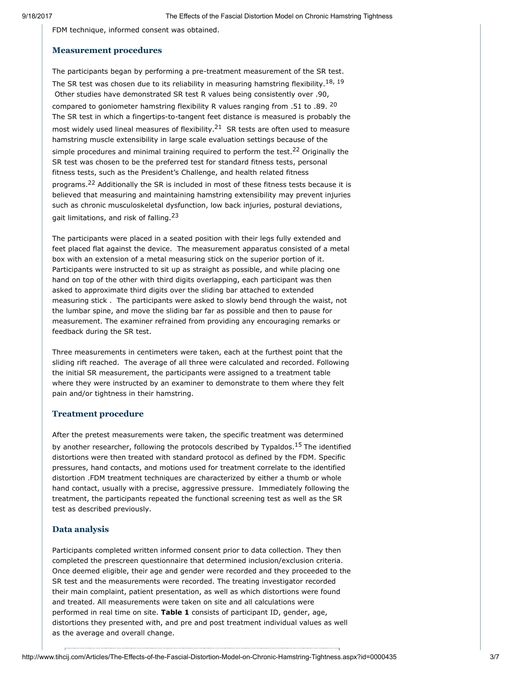FDM technique, informed consent was obtained.

#### Measurement procedures

The participants began by performing a pre-treatment measurement of the SR test. The SR test was chosen due to its reliability in measuring hamstring flexibility.<sup>18, 19</sup> Other studies have demonstrated SR test R values being consistently over .90, compared to goniometer hamstring flexibility R values ranging from .51 to .89. <sup>20</sup> The SR test in which a fingertips-to-tangent feet distance is measured is probably the most widely used lineal measures of flexibility.<sup>21</sup> SR tests are often used to measure hamstring muscle extensibility in large scale evaluation settings because of the simple procedures and minimal training required to perform the test.<sup>22</sup> Originally the SR test was chosen to be the preferred test for standard fitness tests, personal fitness tests, such as the President's Challenge, and health related fitness programs.<sup>22</sup> Additionally the SR is included in most of these fitness tests because it is believed that measuring and maintaining hamstring extensibility may prevent injuries such as chronic musculoskeletal dysfunction, low back injuries, postural deviations, gait limitations, and risk of falling.<sup>23</sup>

The participants were placed in a seated position with their legs fully extended and feet placed flat against the device. The measurement apparatus consisted of a metal box with an extension of a metal measuring stick on the superior portion of it. Participants were instructed to sit up as straight as possible, and while placing one hand on top of the other with third digits overlapping, each participant was then asked to approximate third digits over the sliding bar attached to extended measuring stick . The participants were asked to slowly bend through the waist, not the lumbar spine, and move the sliding bar far as possible and then to pause for measurement. The examiner refrained from providing any encouraging remarks or feedback during the SR test.

Three measurements in centimeters were taken, each at the furthest point that the sliding rift reached. The average of all three were calculated and recorded. Following the initial SR measurement, the participants were assigned to a treatment table where they were instructed by an examiner to demonstrate to them where they felt pain and/or tightness in their hamstring.

#### Treatment procedure

After the pretest measurements were taken, the specific treatment was determined by another researcher, following the protocols described by Typaldos.<sup>15</sup> The identified distortions were then treated with standard protocol as defined by the FDM. Specific pressures, hand contacts, and motions used for treatment correlate to the identified distortion .FDM treatment techniques are characterized by either a thumb or whole hand contact, usually with a precise, aggressive pressure. Immediately following the treatment, the participants repeated the functional screening test as well as the SR test as described previously.

#### Data analysis

Participants completed written informed consent prior to data collection. They then completed the prescreen questionnaire that determined inclusion/exclusion criteria. Once deemed eligible, their age and gender were recorded and they proceeded to the SR test and the measurements were recorded. The treating investigator recorded their main complaint, patient presentation, as well as which distortions were found and treated. All measurements were taken on site and all calculations were performed in real time on site. Table 1 consists of participant ID, gender, age, distortions they presented with, and pre and post treatment individual values as well as the average and overall change.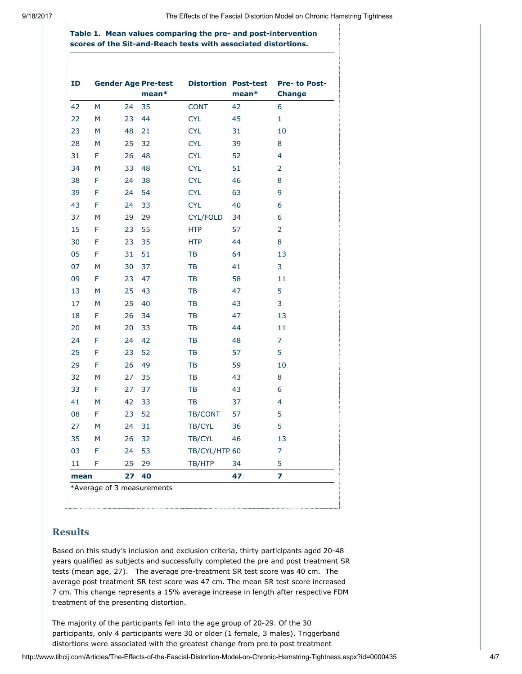Table 1. Mean values comparing the pre- and post-intervention scores of the Sit-and-Reach tests with associated distortions.

| ID               |   |    | <b>Gender Age Pre-test</b><br>$mean*$ |               | <b>Distortion Post-test</b><br>$mean*$ | <b>Pre- to Post-</b><br><b>Change</b> |
|------------------|---|----|---------------------------------------|---------------|----------------------------------------|---------------------------------------|
| 42               | М | 24 | 35                                    | <b>CONT</b>   | 42                                     | 6                                     |
| 22               | M | 23 | 44                                    | <b>CYL</b>    | 45                                     | $\mathbf{1}$                          |
| 23               | M | 48 | 21                                    | <b>CYL</b>    | 31                                     | 10                                    |
| 28               | M | 25 | 32                                    | <b>CYL</b>    | 39                                     | 8                                     |
| 31               | F | 26 | 48                                    | <b>CYL</b>    | 52                                     | 4                                     |
| 34               | M | 33 | 48                                    | <b>CYL</b>    | 51                                     | 2                                     |
| 38               | F | 24 | 38                                    | <b>CYL</b>    | 46                                     | 8                                     |
| 39               | F | 24 | 54                                    | <b>CYL</b>    | 63                                     | 9                                     |
| 43               | F | 24 | 33                                    | <b>CYL</b>    | 40                                     | 6                                     |
| 37               | M | 29 | 29                                    | CYL/FOLD      | 34                                     | 6                                     |
| 15               | F | 23 | 55                                    | <b>HTP</b>    | 57                                     | 2                                     |
| 30               | F | 23 | 35                                    | <b>HTP</b>    | 44                                     | 8                                     |
| 05               | F | 31 | 51                                    | TB            | 64                                     | 13                                    |
| 07               | M | 30 | 37                                    | TB            | 41                                     | 3                                     |
| 09               | F | 23 | 47                                    | TB            | 58                                     | 11                                    |
| 13               | M | 25 | 43                                    | TB            | 47                                     | 5                                     |
| 17               | M | 25 | 40                                    | TB            | 43                                     | 3                                     |
| 18               | F | 26 | 34                                    | TB            | 47                                     | 13                                    |
| 20               | M | 20 | 33                                    | TB            | 44                                     | 11                                    |
| 24               | F | 24 | 42                                    | <b>TB</b>     | 48                                     | 7                                     |
| 25               | F | 23 | 52                                    | TB            | 57                                     | 5                                     |
| 29               | F | 26 | 49                                    | TB            | 59                                     | 10                                    |
| 32               | M | 27 | 35                                    | TB            | 43                                     | 8                                     |
| 33               | F | 27 | 37                                    | TB            | 43                                     | 6                                     |
| 41               | M | 42 | 33                                    | TB            | 37                                     | 4                                     |
| 08               | F | 23 | 52                                    | TB/CONT       | 57                                     | 5                                     |
| 27               | M | 24 | 31                                    | TB/CYL        | 36                                     | 5                                     |
| 35               | M | 26 | 32                                    | TB/CYL        | 46                                     | 13                                    |
| 03               | F | 24 | 53                                    | TB/CYL/HTP 60 |                                        | 7                                     |
| 11               | F | 25 | 29                                    | TB/HTP        | 34                                     | 5                                     |
| 40<br>27<br>mean |   |    | 47                                    | 7             |                                        |                                       |

## **Results**

Based on this study's inclusion and exclusion criteria, thirty participants aged 20-48 years qualified as subjects and successfully completed the pre and post treatment SR tests (mean age, 27). The average pre-treatment SR test score was 40 cm. The average post treatment SR test score was 47 cm. The mean SR test score increased 7 cm. This change represents a 15% average increase in length after respective FDM treatment of the presenting distortion.

The majority of the participants fell into the age group of 20-29. Of the 30 participants, only 4 participants were 30 or older (1 female, 3 males). Triggerband distortions were associated with the greatest change from pre to post treatment

http://www.tihcij.com/Articles/The-Effects-of-the-Fascial-Distortion-Model-on-Chronic-Hamstring-Tightness.aspx?id=0000435 4/7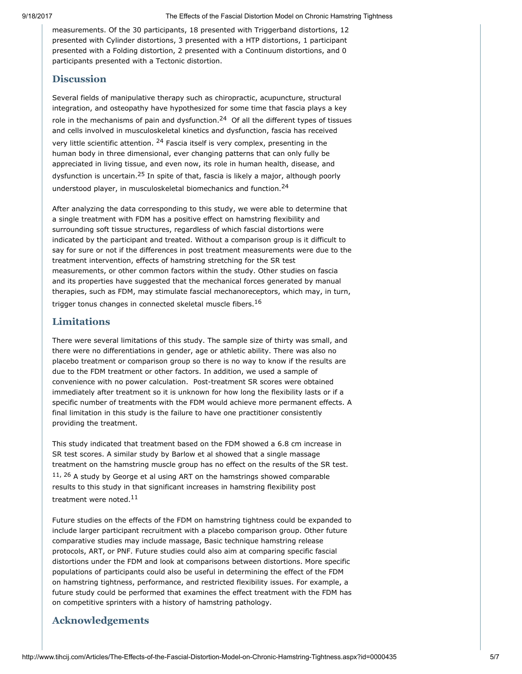measurements. Of the 30 participants, 18 presented with Triggerband distortions, 12 presented with Cylinder distortions, 3 presented with a HTP distortions, 1 participant presented with a Folding distortion, 2 presented with a Continuum distortions, and 0 participants presented with a Tectonic distortion.

## **Discussion**

Several fields of manipulative therapy such as chiropractic, acupuncture, structural integration, and osteopathy have hypothesized for some time that fascia plays a key role in the mechanisms of pain and dysfunction. $^{24}$  Of all the different types of tissues and cells involved in musculoskeletal kinetics and dysfunction, fascia has received very little scientific attention. <sup>24</sup> Fascia itself is very complex, presenting in the human body in three dimensional, ever changing patterns that can only fully be appreciated in living tissue, and even now, its role in human health, disease, and dysfunction is uncertain.<sup>25</sup> In spite of that, fascia is likely a major, although poorly understood player, in musculoskeletal biomechanics and function.<sup>24</sup>

After analyzing the data corresponding to this study, we were able to determine that a single treatment with FDM has a positive effect on hamstring flexibility and surrounding soft tissue structures, regardless of which fascial distortions were indicated by the participant and treated. Without a comparison group is it difficult to say for sure or not if the differences in post treatment measurements were due to the treatment intervention, effects of hamstring stretching for the SR test measurements, or other common factors within the study. Other studies on fascia and its properties have suggested that the mechanical forces generated by manual therapies, such as FDM, may stimulate fascial mechanoreceptors, which may, in turn, trigger tonus changes in connected skeletal muscle fibers.<sup>16</sup>

# Limitations

There were several limitations of this study. The sample size of thirty was small, and there were no differentiations in gender, age or athletic ability. There was also no placebo treatment or comparison group so there is no way to know if the results are due to the FDM treatment or other factors. In addition, we used a sample of convenience with no power calculation. Post-treatment SR scores were obtained immediately after treatment so it is unknown for how long the flexibility lasts or if a specific number of treatments with the FDM would achieve more permanent effects. A final limitation in this study is the failure to have one practitioner consistently providing the treatment.

This study indicated that treatment based on the FDM showed a 6.8 cm increase in SR test scores. A similar study by Barlow et al showed that a single massage treatment on the hamstring muscle group has no effect on the results of the SR test.  $11, 26$  A study by George et al using ART on the hamstrings showed comparable results to this study in that significant increases in hamstring flexibility post treatment were noted.<sup>11</sup>

Future studies on the effects of the FDM on hamstring tightness could be expanded to include larger participant recruitment with a placebo comparison group. Other future comparative studies may include massage, Basic technique hamstring release protocols, ART, or PNF. Future studies could also aim at comparing specific fascial distortions under the FDM and look at comparisons between distortions. More specific populations of participants could also be useful in determining the effect of the FDM on hamstring tightness, performance, and restricted flexibility issues. For example, a future study could be performed that examines the effect treatment with the FDM has on competitive sprinters with a history of hamstring pathology.

## Acknowledgements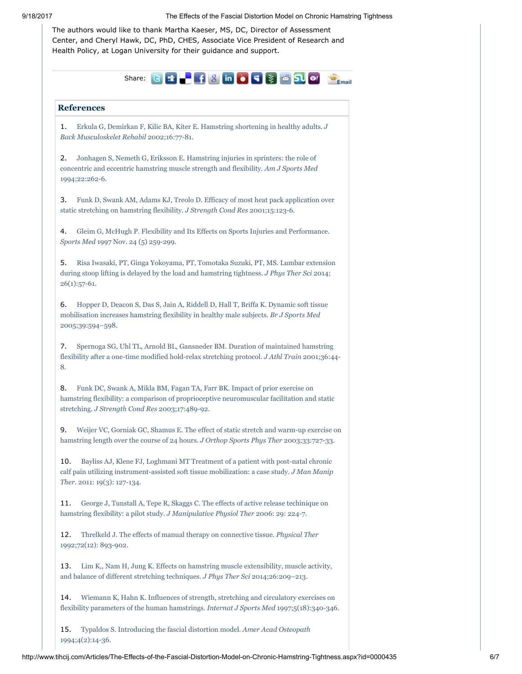9/18/2017 The Effects of the Fascial Distortion Model on Chronic Hamstring Tightness

| <b>References</b>    |                                                                                                                                                                                                                              |
|----------------------|------------------------------------------------------------------------------------------------------------------------------------------------------------------------------------------------------------------------------|
| 1.                   | Erkula G, Demirkan F, Kilic BA, Kiter E. Hamstring shortening in healthy adults. J<br>Back Musculoskelet Rehabil 2002;16:77-81.                                                                                              |
| 2.<br>1994;22:262-6. | Jonhagen S, Nemeth G, Eriksson E. Hamstring injuries in sprinters: the role of<br>concentric and eccentric hamstring muscle strength and flexibility. Am J Sports Med                                                        |
| 3.                   | Funk D, Swank AM, Adams KJ, Treolo D. Efficacy of most heat pack application over<br>static stretching on hamstring flexibility. J Strength Cond Res 2001;15:123-6.                                                          |
| 4.                   | Gleim G, McHugh P. Flexibility and Its Effects on Sports Injuries and Performance.<br>Sports Med 1997 Nov. 24 (5) 259-299.                                                                                                   |
| 5.<br>$26(1):57-61.$ | Risa Iwasaki, PT, Ginga Yokoyama, PT, Tomotaka Suzuki, PT, MS. Lumbar extension<br>during stoop lifting is delayed by the load and hamstring tightness. J Phys Ther Sci 2014;                                                |
| 6.                   | Hopper D, Deacon S, Das S, Jain A, Riddell D, Hall T, Briffa K. Dynamic soft tissue<br>mobilisation increases hamstring flexibility in healthy male subjects. Br J Sports Med<br>2005;39:594-598.                            |
| 7.<br>8.             | Spernoga SG, Uhl TL, Arnold BL, Gansneder BM. Duration of maintained hamstring<br>flexibility after a one-time modified hold-relax stretching protocol. J Athl Train 2001;36:44-                                             |
| 8.                   | Funk DC, Swank A, Mikla BM, Fagan TA, Farr BK. Impact of prior exercise on<br>hamstring flexibility: a comparison of proprioceptive neuromuscular facilitation and static<br>stretching. J Strength Cond Res 2003;17:489-92. |
| 9.                   | Weijer VC, Gorniak GC, Shamus E. The effect of static stretch and warm-up exercise on<br>hamstring length over the course of 24 hours. J Orthop Sports Phys Ther 2003;33:727-33.                                             |
| 10.                  | Bayliss AJ, Klene FJ, Loghmani MT Treatment of a patient with post-natal chronic<br>calf pain utilizing instrument-assisted soft tissue mobilization: a case study. J Man Manip<br>Ther. 2011: 19(3): 127-134.               |
| 11.                  | George J, Tunstall A, Tepe R, Skaggs C. The effects of active release techinique on<br>hamstring flexibility: a pilot study. J Manipulative Physiol Ther 2006: 29: 224-7.                                                    |
| 12.                  | Threlkeld J. The effects of manual therapy on connective tissue. Physical Ther<br>1992;72(12): 893-902.                                                                                                                      |
| 13.                  | Lim K,, Nam H, Jung K. Effects on hamstring muscle extensibility, muscle activity,<br>and balance of different stretching techniques. J Phys Ther Sci 2014;26:209-213.                                                       |
| 14.                  | Wiemann K, Hahn K. Influences of strength, stretching and circulatory exercises on<br>flexibility parameters of the human hamstrings. Internat J Sports Med 1997;5(18):340-346.                                              |
| 15.                  | Typaldos S. Introducing the fascial distortion model. Amer Acad Osteopath                                                                                                                                                    |

1994;4(2):14-36.